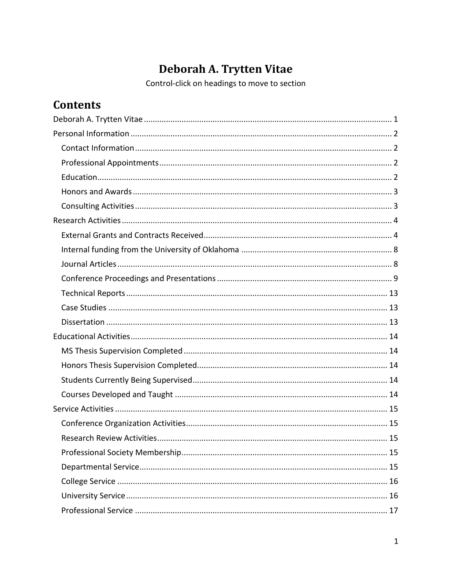# Deborah A. Trytten Vitae

Control-click on headings to move to section

# <span id="page-0-0"></span>**Contents**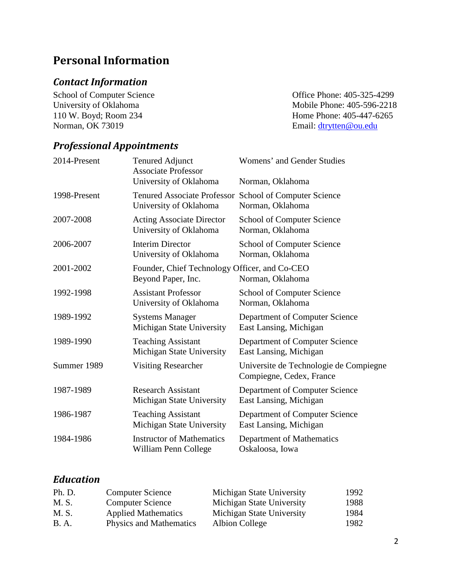# <span id="page-1-0"></span>**Personal Information**

# <span id="page-1-1"></span>*Contact Information*

110 W. Boyd; Room 234 Home Phone: 405-447-6265<br>Norman, OK 73019 Home Phone: 405-447-6265

School of Computer Science<br>
University of Oklahoma<br>
University of Oklahoma<br>
School of Computer Science<br>
Office Phone: 405-325-4299<br>
Mobile Phone: 405-596-2218 University of Oklahoma<br>
110 W. Boyd; Room 234<br>
110 W. Boyd; Room 234<br>
110 W. Boyd; Room 234<br>
110 W. Boyd; Room 234 Email: [dtrytten@ou.edu](mailto:dtrytten@ou.edu)

## <span id="page-1-2"></span>*Professional Appointments*

| <b>Tenured Adjunct</b>                                              | Womens' and Gender Studies                                         |
|---------------------------------------------------------------------|--------------------------------------------------------------------|
| <b>Associate Professor</b>                                          | Norman, Oklahoma                                                   |
| <b>Tenured Associate Professor</b>                                  | School of Computer Science                                         |
| University of Oklahoma                                              | Norman, Oklahoma                                                   |
| <b>Acting Associate Director</b>                                    | <b>School of Computer Science</b>                                  |
| University of Oklahoma                                              | Norman, Oklahoma                                                   |
| <b>Interim Director</b>                                             | <b>School of Computer Science</b>                                  |
| University of Oklahoma                                              | Norman, Oklahoma                                                   |
| Founder, Chief Technology Officer, and Co-CEO<br>Beyond Paper, Inc. | Norman, Oklahoma                                                   |
| <b>Assistant Professor</b>                                          | <b>School of Computer Science</b>                                  |
| University of Oklahoma                                              | Norman, Oklahoma                                                   |
| <b>Systems Manager</b>                                              | Department of Computer Science                                     |
| Michigan State University                                           | East Lansing, Michigan                                             |
| <b>Teaching Assistant</b>                                           | Department of Computer Science                                     |
| Michigan State University                                           | East Lansing, Michigan                                             |
| <b>Visiting Researcher</b>                                          | Universite de Technologie de Compiegne<br>Compiegne, Cedex, France |
| <b>Research Assistant</b>                                           | Department of Computer Science                                     |
| Michigan State University                                           | East Lansing, Michigan                                             |
| <b>Teaching Assistant</b>                                           | Department of Computer Science                                     |
| Michigan State University                                           | East Lansing, Michigan                                             |
| <b>Instructor of Mathematics</b>                                    | Department of Mathematics                                          |
| William Penn College                                                | Oskaloosa, Iowa                                                    |
|                                                                     | University of Oklahoma                                             |

## <span id="page-1-3"></span>*Education*

| Ph. D. | <b>Computer Science</b>    | Michigan State University | 1992 |
|--------|----------------------------|---------------------------|------|
| M. S.  | <b>Computer Science</b>    | Michigan State University | 1988 |
| M. S.  | <b>Applied Mathematics</b> | Michigan State University | 1984 |
| B.A.   | Physics and Mathematics    | Albion College            | 1982 |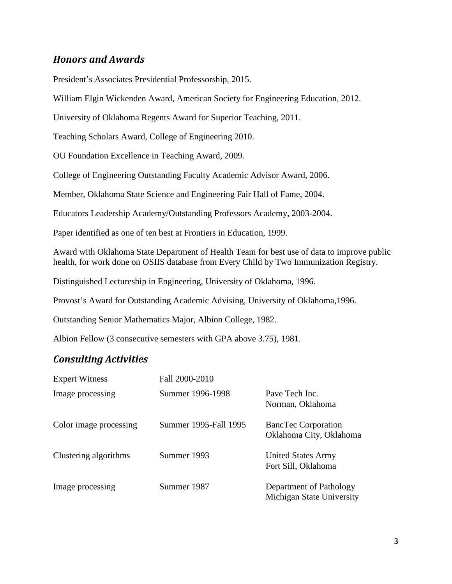## <span id="page-2-0"></span>*Honors and Awards*

President's Associates Presidential Professorship, 2015.

William Elgin Wickenden Award, American Society for Engineering Education, 2012.

University of Oklahoma Regents Award for Superior Teaching, 2011.

Teaching Scholars Award, College of Engineering 2010.

OU Foundation Excellence in Teaching Award, 2009.

College of Engineering Outstanding Faculty Academic Advisor Award, 2006.

Member, Oklahoma State Science and Engineering Fair Hall of Fame, 2004.

Educators Leadership Academy/Outstanding Professors Academy, 2003-2004.

Paper identified as one of ten best at Frontiers in Education, 1999.

Award with Oklahoma State Department of Health Team for best use of data to improve public health, for work done on OSIIS database from Every Child by Two Immunization Registry.

Distinguished Lectureship in Engineering, University of Oklahoma, 1996.

Provost's Award for Outstanding Academic Advising, University of Oklahoma,1996.

Outstanding Senior Mathematics Major, Albion College, 1982.

Albion Fellow (3 consecutive semesters with GPA above 3.75), 1981.

#### <span id="page-2-1"></span>*Consulting Activities*

| <b>Expert Witness</b>  | Fall 2000-2010        |                                                       |
|------------------------|-----------------------|-------------------------------------------------------|
| Image processing       | Summer 1996-1998      | Pave Tech Inc.<br>Norman, Oklahoma                    |
| Color image processing | Summer 1995-Fall 1995 | <b>BancTec Corporation</b><br>Oklahoma City, Oklahoma |
| Clustering algorithms  | Summer 1993           | <b>United States Army</b><br>Fort Sill, Oklahoma      |
| Image processing       | Summer 1987           | Department of Pathology<br>Michigan State University  |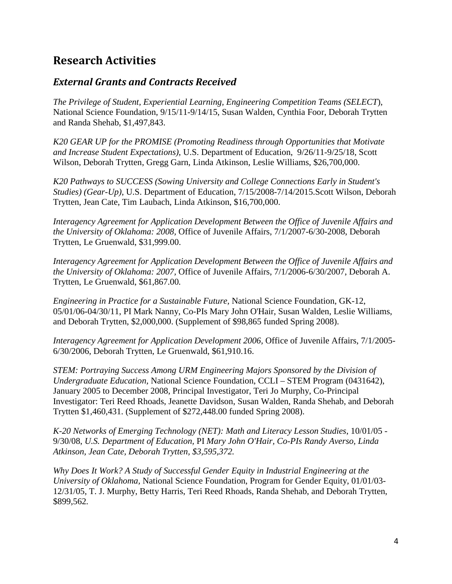# <span id="page-3-0"></span>**Research Activities**

## <span id="page-3-1"></span>*External Grants and Contracts Received*

*The Privilege of Student, Experiential Learning, Engineering Competition Teams (SELECT*), National Science Foundation, 9/15/11-9/14/15, Susan Walden, Cynthia Foor, Deborah Trytten and Randa Shehab, \$1,497,843.

*K20 GEAR UP for the PROMISE (Promoting Readiness through Opportunities that Motivate and Increase Student Expectations)*, U.S. Department of Education, 9/26/11-9/25/18, Scott Wilson, Deborah Trytten, Gregg Garn, Linda Atkinson, Leslie Williams, \$26,700,000.

*K20 Pathways to SUCCESS (Sowing University and College Connections Early in Student's Studies) (Gear-Up)*, U.S. Department of Education, 7/15/2008-7/14/2015.Scott Wilson, Deborah Trytten, Jean Cate, Tim Laubach, Linda Atkinson, \$16,700,000.

*Interagency Agreement for Application Development Between the Office of Juvenile Affairs and the University of Oklahoma: 2008,* Office of Juvenile Affairs, 7/1/2007-6/30-2008, Deborah Trytten, Le Gruenwald, \$31,999.00.

*Interagency Agreement for Application Development Between the Office of Juvenile Affairs and the University of Oklahoma: 2007,* Office of Juvenile Affairs, 7/1/2006-6/30/2007, Deborah A. Trytten, Le Gruenwald, \$61,867.00*.*

*Engineering in Practice for a Sustainable Future,* National Science Foundation, GK-12, 05/01/06-04/30/11, PI Mark Nanny, Co-PIs Mary John O'Hair, Susan Walden, Leslie Williams, and Deborah Trytten, \$2,000,000. (Supplement of \$98,865 funded Spring 2008).

*Interagency Agreement for Application Development 2006,* Office of Juvenile Affairs, 7/1/2005- 6/30/2006, Deborah Trytten, Le Gruenwald, \$61,910.16.

*STEM: Portraying Success Among URM Engineering Majors Sponsored by the Division of Undergraduate Education,* National Science Foundation, CCLI – STEM Program (0431642), January 2005 to December 2008, Principal Investigator, Teri Jo Murphy, Co-Principal Investigator: Teri Reed Rhoads, Jeanette Davidson, Susan Walden, Randa Shehab, and Deborah Trytten \$1,460,431. (Supplement of \$272,448.00 funded Spring 2008).

*K-20 Networks of Emerging Technology (NET): Math and Literacy Lesson Studies*, 10/01/05 - 9/30/08, *U.S. Department of Education,* PI *Mary John O'Hair, Co-PIs Randy Averso, Linda Atkinson, Jean Cate, Deborah Trytten, \$3,595,372.*

*Why Does It Work? A Study of Successful Gender Equity in Industrial Engineering at the University of Oklahoma,* National Science Foundation, Program for Gender Equity, 01/01/03- 12/31/05, T. J. Murphy, Betty Harris, Teri Reed Rhoads, Randa Shehab, and Deborah Trytten, \$899,562*.*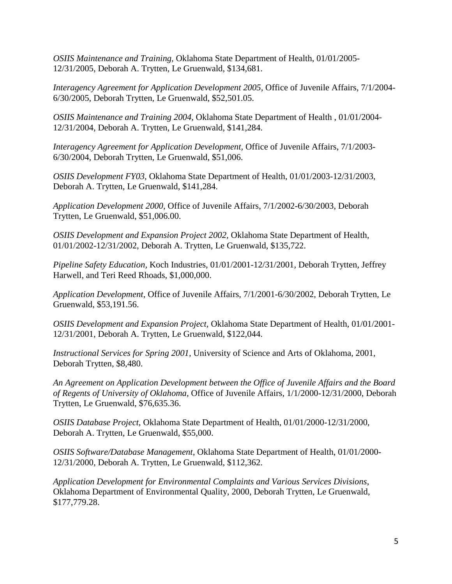*OSIIS Maintenance and Training,* Oklahoma State Department of Health, 01/01/2005- 12/31/2005, Deborah A. Trytten, Le Gruenwald, \$134,681.

*Interagency Agreement for Application Development 2005,* Office of Juvenile Affairs, 7/1/2004- 6/30/2005, Deborah Trytten, Le Gruenwald, \$52,501.05.

*OSIIS Maintenance and Training 2004,* Oklahoma State Department of Health , 01/01/2004- 12/31/2004, Deborah A. Trytten, Le Gruenwald, \$141,284.

*Interagency Agreement for Application Development,* Office of Juvenile Affairs, 7/1/2003- 6/30/2004, Deborah Trytten, Le Gruenwald, \$51,006.

*OSIIS Development FY03,* Oklahoma State Department of Health, 01/01/2003-12/31/2003, Deborah A. Trytten, Le Gruenwald, \$141,284.

*Application Development 2000*, Office of Juvenile Affairs, 7/1/2002-6/30/2003, Deborah Trytten, Le Gruenwald, \$51,006.00.

*OSIIS Development and Expansion Project 2002,* Oklahoma State Department of Health, 01/01/2002-12/31/2002, Deborah A. Trytten, Le Gruenwald, \$135,722.

*Pipeline Safety Education,* Koch Industries, 01/01/2001-12/31/2001, Deborah Trytten, Jeffrey Harwell, and Teri Reed Rhoads, \$1,000,000.

*Application Development*, Office of Juvenile Affairs, 7/1/2001-6/30/2002, Deborah Trytten, Le Gruenwald, \$53,191.56.

*OSIIS Development and Expansion Project,* Oklahoma State Department of Health, 01/01/2001- 12/31/2001, Deborah A. Trytten, Le Gruenwald, \$122,044.

*Instructional Services for Spring 2001,* University of Science and Arts of Oklahoma, 2001, Deborah Trytten, \$8,480.

*An Agreement on Application Development between the Office of Juvenile Affairs and the Board of Regents of University of Oklahoma,* Office of Juvenile Affairs, 1/1/2000-12/31/2000, Deborah Trytten, Le Gruenwald, \$76,635.36.

*OSIIS Database Project*, Oklahoma State Department of Health, 01/01/2000-12/31/2000, Deborah A. Trytten, Le Gruenwald, \$55,000.

*OSIIS Software/Database Management*, Oklahoma State Department of Health, 01/01/2000- 12/31/2000, Deborah A. Trytten, Le Gruenwald, \$112,362.

*Application Development for Environmental Complaints and Various Services Divisions*, Oklahoma Department of Environmental Quality, 2000, Deborah Trytten, Le Gruenwald, \$177,779.28.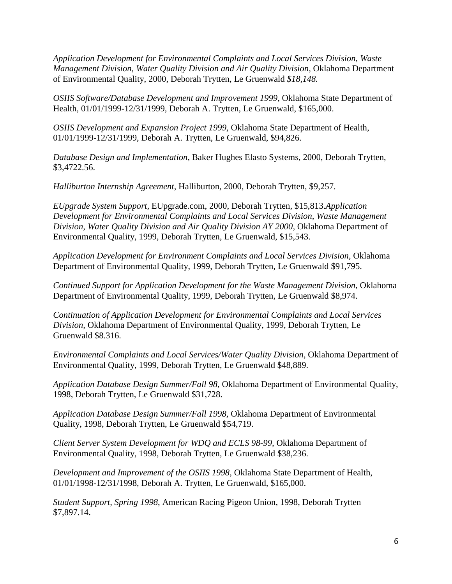*Application Development for Environmental Complaints and Local Services Division, Waste Management Division, Water Quality Division and Air Quality Division, Oklahoma Department* of Environmental Quality, 2000, Deborah Trytten, Le Gruenwald *\$18,148.*

*OSIIS Software/Database Development and Improvement 1999, Oklahoma State Department of* Health, 01/01/1999-12/31/1999, Deborah A. Trytten, Le Gruenwald, \$165,000.

*OSIIS Development and Expansion Project 1999,* Oklahoma State Department of Health, 01/01/1999-12/31/1999, Deborah A. Trytten, Le Gruenwald, \$94,826.

*Database Design and Implementation,* Baker Hughes Elasto Systems, 2000, Deborah Trytten, \$3,4722.56.

*Halliburton Internship Agreement*, Halliburton, 2000, Deborah Trytten, \$9,257.

*EUpgrade System Support,* EUpgrade.com, 2000, Deborah Trytten, \$15,813.*Application Development for Environmental Complaints and Local Services Division, Waste Management Division, Water Quality Division and Air Quality Division AY 2000,* Oklahoma Department of Environmental Quality, 1999, Deborah Trytten, Le Gruenwald, \$15,543.

*Application Development for Environment Complaints and Local Services Division,* Oklahoma Department of Environmental Quality, 1999, Deborah Trytten, Le Gruenwald \$91,795.

*Continued Support for Application Development for the Waste Management Division*, Oklahoma Department of Environmental Quality, 1999, Deborah Trytten, Le Gruenwald \$8,974.

*Continuation of Application Development for Environmental Complaints and Local Services Division,* Oklahoma Department of Environmental Quality, 1999, Deborah Trytten, Le Gruenwald \$8.316.

*Environmental Complaints and Local Services/Water Quality Division*, Oklahoma Department of Environmental Quality, 1999, Deborah Trytten, Le Gruenwald \$48,889.

*Application Database Design Summer/Fall 98*, Oklahoma Department of Environmental Quality, 1998, Deborah Trytten, Le Gruenwald \$31,728.

*Application Database Design Summer/Fall 1998,* Oklahoma Department of Environmental Quality, 1998, Deborah Trytten, Le Gruenwald \$54,719.

*Client Server System Development for WDQ and ECLS 98-99,* Oklahoma Department of Environmental Quality, 1998, Deborah Trytten, Le Gruenwald \$38,236.

*Development and Improvement of the OSIIS 1998*, Oklahoma State Department of Health, 01/01/1998-12/31/1998, Deborah A. Trytten, Le Gruenwald, \$165,000.

*Student Support, Spring 1998*, American Racing Pigeon Union, 1998, Deborah Trytten \$7,897.14.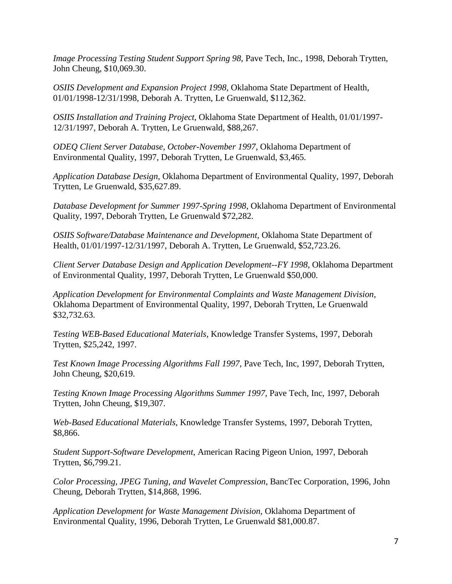*Image Processing Testing Student Support Spring 98*, Pave Tech, Inc., 1998, Deborah Trytten, John Cheung, \$10,069.30.

*OSIIS Development and Expansion Project 1998,* Oklahoma State Department of Health, 01/01/1998-12/31/1998, Deborah A. Trytten, Le Gruenwald, \$112,362.

*OSIIS Installation and Training Project*, Oklahoma State Department of Health, 01/01/1997- 12/31/1997, Deborah A. Trytten, Le Gruenwald, \$88,267.

*ODEQ Client Server Database, October-November 1997*, Oklahoma Department of Environmental Quality, 1997, Deborah Trytten, Le Gruenwald, \$3,465.

*Application Database Design*, Oklahoma Department of Environmental Quality, 1997, Deborah Trytten, Le Gruenwald, \$35,627.89.

*Database Development for Summer 1997-Spring 1998*, Oklahoma Department of Environmental Quality, 1997, Deborah Trytten, Le Gruenwald \$72,282.

*OSIIS Software/Database Maintenance and Development*, Oklahoma State Department of Health, 01/01/1997-12/31/1997, Deborah A. Trytten, Le Gruenwald, \$52,723.26.

*Client Server Database Design and Application Development--FY 1998*, Oklahoma Department of Environmental Quality, 1997, Deborah Trytten, Le Gruenwald \$50,000.

*Application Development for Environmental Complaints and Waste Management Division,* Oklahoma Department of Environmental Quality, 1997, Deborah Trytten, Le Gruenwald \$32,732.63.

*Testing WEB-Based Educational Materials*, Knowledge Transfer Systems, 1997, Deborah Trytten, \$25,242, 1997.

*Test Known Image Processing Algorithms Fall 1997*, Pave Tech, Inc, 1997, Deborah Trytten, John Cheung, \$20,619.

*Testing Known Image Processing Algorithms Summer 1997*, Pave Tech, Inc, 1997, Deborah Trytten, John Cheung, \$19,307.

*Web-Based Educational Materials*, Knowledge Transfer Systems, 1997, Deborah Trytten, \$8,866.

*Student Support-Software Development*, American Racing Pigeon Union, 1997, Deborah Trytten, \$6,799.21.

*Color Processing, JPEG Tuning, and Wavelet Compression*, BancTec Corporation, 1996, John Cheung, Deborah Trytten, \$14,868, 1996.

*Application Development for Waste Management Division*, Oklahoma Department of Environmental Quality, 1996, Deborah Trytten, Le Gruenwald \$81,000.87.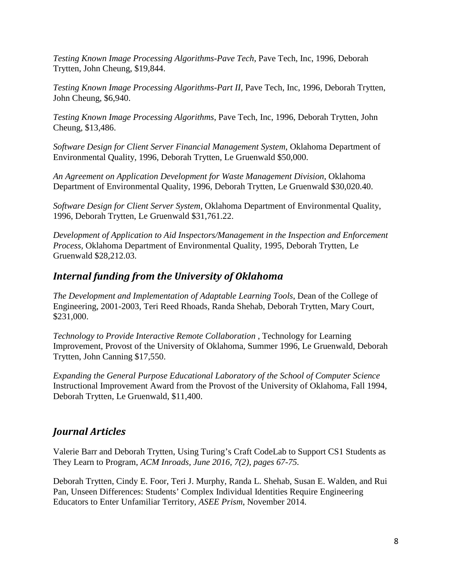*Testing Known Image Processing Algorithms-Pave Tech*, Pave Tech, Inc, 1996, Deborah Trytten, John Cheung, \$19,844.

*Testing Known Image Processing Algorithms-Part II*, Pave Tech, Inc, 1996, Deborah Trytten, John Cheung, \$6,940.

*Testing Known Image Processing Algorithms*, Pave Tech, Inc, 1996, Deborah Trytten, John Cheung, \$13,486.

*Software Design for Client Server Financial Management System*, Oklahoma Department of Environmental Quality, 1996, Deborah Trytten, Le Gruenwald \$50,000.

*An Agreement on Application Development for Waste Management Division*, Oklahoma Department of Environmental Quality, 1996, Deborah Trytten, Le Gruenwald \$30,020.40.

*Software Design for Client Server System*, Oklahoma Department of Environmental Quality, 1996, Deborah Trytten, Le Gruenwald \$31,761.22.

*Development of Application to Aid Inspectors/Management in the Inspection and Enforcement Process,* Oklahoma Department of Environmental Quality, 1995, Deborah Trytten, Le Gruenwald \$28,212.03.

#### <span id="page-7-0"></span>*Internal funding from the University of Oklahoma*

*The Development and Implementation of Adaptable Learning Tools*, Dean of the College of Engineering, 2001-2003, Teri Reed Rhoads, Randa Shehab, Deborah Trytten, Mary Court, \$231,000.

*Technology to Provide Interactive Remote Collaboration* , Technology for Learning Improvement, Provost of the University of Oklahoma, Summer 1996, Le Gruenwald, Deborah Trytten, John Canning \$17,550.

*Expanding the General Purpose Educational Laboratory of the School of Computer Science* Instructional Improvement Award from the Provost of the University of Oklahoma, Fall 1994, Deborah Trytten, Le Gruenwald, \$11,400.

## <span id="page-7-1"></span>*Journal Articles*

Valerie Barr and Deborah Trytten, Using Turing's Craft CodeLab to Support CS1 Students as They Learn to Program, *ACM Inroads, June 2016, 7(2), pages 67-75.*

Deborah Trytten, Cindy E. Foor, Teri J. Murphy, Randa L. Shehab, Susan E. Walden, and Rui Pan, Unseen Differences: Students' Complex Individual Identities Require Engineering Educators to Enter Unfamiliar Territory, *ASEE Prism*, November 2014.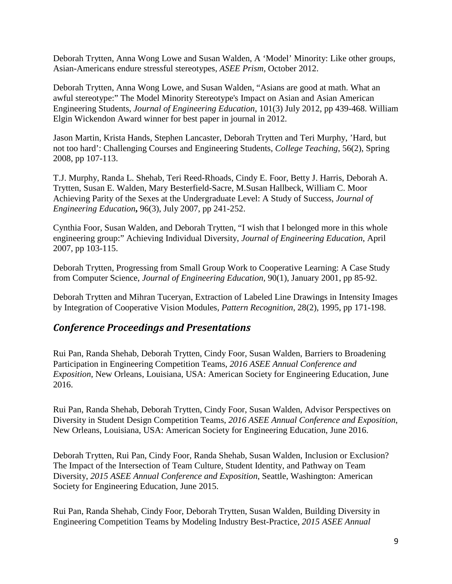Deborah Trytten, Anna Wong Lowe and Susan Walden, A 'Model' Minority: Like other groups, Asian-Americans endure stressful stereotypes, *ASEE Prism*, October 2012.

Deborah Trytten, Anna Wong Lowe, and Susan Walden, "Asians are good at math. What an awful stereotype:" The Model Minority Stereotype's Impact on Asian and Asian American Engineering Students, *Journal of Engineering Education*, 101(3) July 2012, pp 439-468. William Elgin Wickendon Award winner for best paper in journal in 2012.

Jason Martin, Krista Hands, Stephen Lancaster, Deborah Trytten and Teri Murphy, 'Hard, but not too hard': Challenging Courses and Engineering Students, *College Teaching*, 56(2), Spring 2008, pp 107-113.

T.J. Murphy, Randa L. Shehab, Teri Reed-Rhoads, Cindy E. Foor, Betty J. Harris, Deborah A. Trytten, Susan E. Walden, Mary Besterfield-Sacre, M.Susan Hallbeck, William C. Moor Achieving Parity of the Sexes at the Undergraduate Level: A Study of Success, *Journal of Engineering Education***,** 96(3), July 2007, pp 241-252.

Cynthia Foor, Susan Walden, and Deborah Trytten, "I wish that I belonged more in this whole engineering group:" Achieving Individual Diversity, *Journal of Engineering Education*, April 2007, pp 103-115.

Deborah Trytten, Progressing from Small Group Work to Cooperative Learning: A Case Study from Computer Science, *Journal of Engineering Education,* 90(1), January 2001, pp 85-92.

Deborah Trytten and Mihran Tuceryan, Extraction of Labeled Line Drawings in Intensity Images by Integration of Cooperative Vision Modules, *Pattern Recognition*, 28(2), 1995, pp 171-198.

#### <span id="page-8-0"></span>*Conference Proceedings and Presentations*

Rui Pan, Randa Shehab, Deborah Trytten, Cindy Foor, Susan Walden, Barriers to Broadening Participation in Engineering Competition Teams, *2016 ASEE Annual Conference and Exposition*, New Orleans, Louisiana, USA: American Society for Engineering Education, June 2016.

Rui Pan, Randa Shehab, Deborah Trytten, Cindy Foor, Susan Walden, Advisor Perspectives on Diversity in Student Design Competition Teams, *2016 ASEE Annual Conference and Exposition*, New Orleans, Louisiana, USA: American Society for Engineering Education, June 2016.

Deborah Trytten, Rui Pan, Cindy Foor, Randa Shehab, Susan Walden, Inclusion or Exclusion? The Impact of the Intersection of Team Culture, Student Identity, and Pathway on Team Diversity, *2015 ASEE Annual Conference and Exposition*, Seattle, Washington: American Society for Engineering Education, June 2015.

Rui Pan, Randa Shehab, Cindy Foor, Deborah Trytten, Susan Walden, Building Diversity in Engineering Competition Teams by Modeling Industry Best-Practice, *2015 ASEE Annual*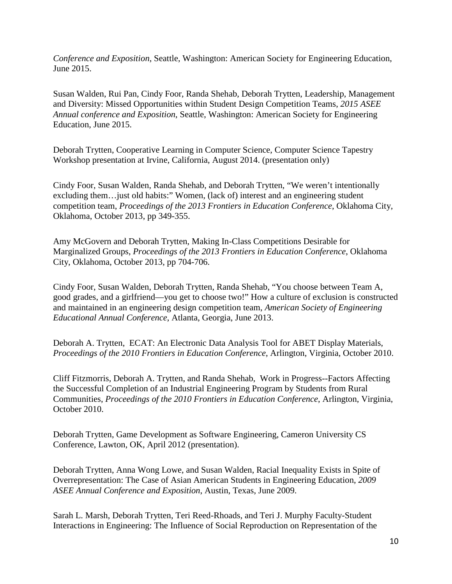*Conference and Exposition*, Seattle, Washington: American Society for Engineering Education, June 2015.

Susan Walden, Rui Pan, Cindy Foor, Randa Shehab, Deborah Trytten, Leadership, Management and Diversity: Missed Opportunities within Student Design Competition Teams, *2015 ASEE Annual conference and Exposition*, Seattle, Washington: American Society for Engineering Education, June 2015.

Deborah Trytten, Cooperative Learning in Computer Science, Computer Science Tapestry Workshop presentation at Irvine, California, August 2014. (presentation only)

Cindy Foor, Susan Walden, Randa Shehab, and Deborah Trytten, "We weren't intentionally excluding them... just old habits:" Women, (lack of) interest and an engineering student competition team, *Proceedings of the 2013 Frontiers in Education Conference*, Oklahoma City, Oklahoma, October 2013, pp 349-355.

Amy McGovern and Deborah Trytten, Making In-Class Competitions Desirable for Marginalized Groups, *Proceedings of the 2013 Frontiers in Education Conference*, Oklahoma City, Oklahoma, October 2013, pp 704-706.

Cindy Foor, Susan Walden, Deborah Trytten, Randa Shehab, "You choose between Team A, good grades, and a girlfriend—you get to choose two!" How a culture of exclusion is constructed and maintained in an engineering design competition team, *American Society of Engineering Educational Annual Conference*, Atlanta, Georgia, June 2013.

Deborah A. Trytten, ECAT: An Electronic Data Analysis Tool for ABET Display Materials, *Proceedings of the 2010 Frontiers in Education Conference*, Arlington, Virginia, October 2010.

Cliff Fitzmorris, Deborah A. Trytten, and Randa Shehab, Work in Progress--Factors Affecting the Successful Completion of an Industrial Engineering Program by Students from Rural Communities, *Proceedings of the 2010 Frontiers in Education Conference*, Arlington, Virginia, October 2010.

Deborah Trytten, Game Development as Software Engineering, Cameron University CS Conference, Lawton, OK, April 2012 (presentation).

Deborah Trytten, Anna Wong Lowe, and Susan Walden, Racial Inequality Exists in Spite of Overrepresentation: The Case of Asian American Students in Engineering Education, *2009 ASEE Annual Conference and Exposition*, Austin, Texas, June 2009.

Sarah L. Marsh, Deborah Trytten, Teri Reed-Rhoads, and Teri J. Murphy Faculty-Student Interactions in Engineering: The Influence of Social Reproduction on Representation of the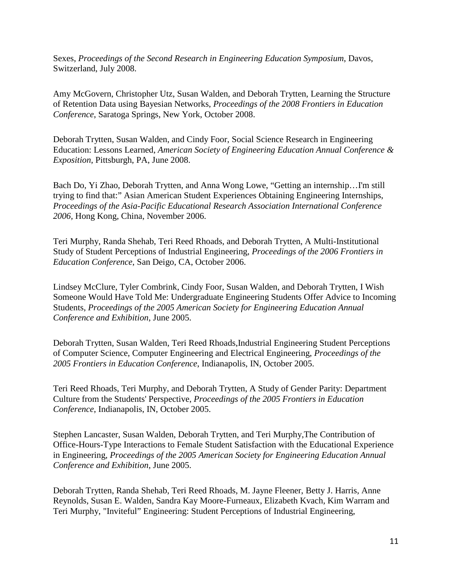Sexes, *Proceedings of the Second Research in Engineering Education Symposium*, Davos, Switzerland, July 2008.

Amy McGovern, Christopher Utz, Susan Walden, and Deborah Trytten, Learning the Structure of Retention Data using Bayesian Networks, *Proceedings of the 2008 Frontiers in Education Conference*, Saratoga Springs, New York, October 2008.

Deborah Trytten, Susan Walden, and Cindy Foor, Social Science Research in Engineering Education: Lessons Learned, *American Society of Engineering Education Annual Conference & Exposition*, Pittsburgh, PA, June 2008.

Bach Do, Yi Zhao, Deborah Trytten, and Anna Wong Lowe, "Getting an internship…I'm still trying to find that:" Asian American Student Experiences Obtaining Engineering Internships, *Proceedings of the Asia-Pacific Educational Research Association International Conference 2006,* Hong Kong, China, November 2006.

Teri Murphy, Randa Shehab, Teri Reed Rhoads, and Deborah Trytten, A Multi-Institutional Study of Student Perceptions of Industrial Engineering, *Proceedings of the 2006 Frontiers in Education Conference*, San Deigo, CA, October 2006.

Lindsey McClure, Tyler Combrink, Cindy Foor, Susan Walden, and Deborah Trytten, I Wish Someone Would Have Told Me: Undergraduate Engineering Students Offer Advice to Incoming Students, *Proceedings of the 2005 American Society for Engineering Education Annual Conference and Exhibition*, June 2005.

Deborah Trytten, Susan Walden, Teri Reed Rhoads,Industrial Engineering Student Perceptions of Computer Science, Computer Engineering and Electrical Engineering, *Proceedings of the 2005 Frontiers in Education Conference*, Indianapolis, IN, October 2005.

Teri Reed Rhoads, Teri Murphy, and Deborah Trytten, A Study of Gender Parity: Department Culture from the Students' Perspective, *Proceedings of the 2005 Frontiers in Education Conference*, Indianapolis, IN, October 2005.

Stephen Lancaster, Susan Walden, Deborah Trytten, and Teri Murphy,The Contribution of Office-Hours-Type Interactions to Female Student Satisfaction with the Educational Experience in Engineering, *Proceedings of the 2005 American Society for Engineering Education Annual Conference and Exhibition*, June 2005.

Deborah Trytten, Randa Shehab, Teri Reed Rhoads, M. Jayne Fleener, Betty J. Harris, Anne Reynolds, Susan E. Walden, Sandra Kay Moore-Furneaux, Elizabeth Kvach, Kim Warram and Teri Murphy, "Inviteful" Engineering: Student Perceptions of Industrial Engineering,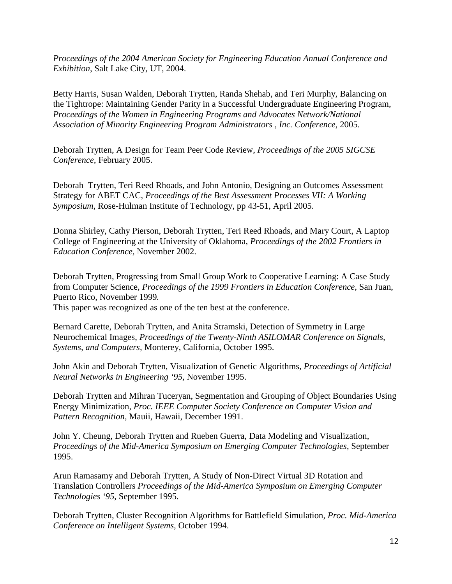*Proceedings of the 2004 American Society for Engineering Education Annual Conference and Exhibition*, Salt Lake City, UT, 2004.

Betty Harris, Susan Walden, Deborah Trytten, Randa Shehab, and Teri Murphy, Balancing on the Tightrope: Maintaining Gender Parity in a Successful Undergraduate Engineering Program, *Proceedings of the Women in Engineering Programs and Advocates Network/National Association of Minority Engineering Program Administrators , Inc. Conference*, 2005.

Deborah Trytten, A Design for Team Peer Code Review, *Proceedings of the 2005 SIGCSE Conference,* February 2005.

Deborah Trytten, Teri Reed Rhoads, and John Antonio, Designing an Outcomes Assessment Strategy for ABET CAC, *Proceedings of the Best Assessment Processes VII: A Working Symposium*, Rose-Hulman Institute of Technology, pp 43-51, April 2005.

Donna Shirley, Cathy Pierson, Deborah Trytten, Teri Reed Rhoads, and Mary Court, A Laptop College of Engineering at the University of Oklahoma, *Proceedings of the 2002 Frontiers in Education Conference,* November 2002.

Deborah Trytten, Progressing from Small Group Work to Cooperative Learning: A Case Study from Computer Science*, Proceedings of the 1999 Frontiers in Education Conference,* San Juan, Puerto Rico, November 1999*.* 

This paper was recognized as one of the ten best at the conference.

Bernard Carette, Deborah Trytten, and Anita Stramski, Detection of Symmetry in Large Neurochemical Images, *Proceedings of the Twenty-Ninth ASILOMAR Conference on Signals, Systems, and Computers,* Monterey, California, October 1995.

John Akin and Deborah Trytten, Visualization of Genetic Algorithms, *Proceedings of Artificial Neural Networks in Engineering '95,* November 1995.

Deborah Trytten and Mihran Tuceryan, Segmentation and Grouping of Object Boundaries Using Energy Minimization, *Proc. IEEE Computer Society Conference on Computer Vision and Pattern Recognition,* Mauii, Hawaii, December 1991.

John Y. Cheung, Deborah Trytten and Rueben Guerra, Data Modeling and Visualization, *Proceedings of the Mid-America Symposium on Emerging Computer Technologies*, September 1995.

Arun Ramasamy and Deborah Trytten, A Study of Non-Direct Virtual 3D Rotation and Translation Controllers *Proceedings of the Mid-America Symposium on Emerging Computer Technologies '95*, September 1995.

Deborah Trytten, Cluster Recognition Algorithms for Battlefield Simulation, *Proc. Mid-America Conference on Intelligent Systems,* October 1994.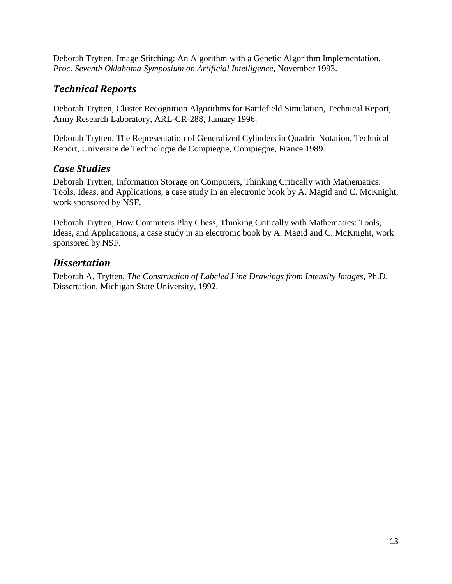Deborah Trytten, Image Stitching: An Algorithm with a Genetic Algorithm Implementation, *Proc. Seventh Oklahoma Symposium on Artificial Intelligence*, November 1993.

## <span id="page-12-0"></span>*Technical Reports*

Deborah Trytten, Cluster Recognition Algorithms for Battlefield Simulation, Technical Report, Army Research Laboratory, ARL-CR-288, January 1996.

Deborah Trytten, The Representation of Generalized Cylinders in Quadric Notation, Technical Report, Universite de Technologie de Compiegne, Compiegne, France 1989.

#### <span id="page-12-1"></span>*Case Studies*

Deborah Trytten, Information Storage on Computers, Thinking Critically with Mathematics: Tools, Ideas, and Applications, a case study in an electronic book by A. Magid and C. McKnight, work sponsored by NSF.

Deborah Trytten, How Computers Play Chess, Thinking Critically with Mathematics: Tools, Ideas, and Applications, a case study in an electronic book by A. Magid and C. McKnight, work sponsored by NSF.

#### <span id="page-12-2"></span>*Dissertation*

Deborah A. Trytten, *The Construction of Labeled Line Drawings from Intensity Images*, Ph.D. Dissertation, Michigan State University, 1992.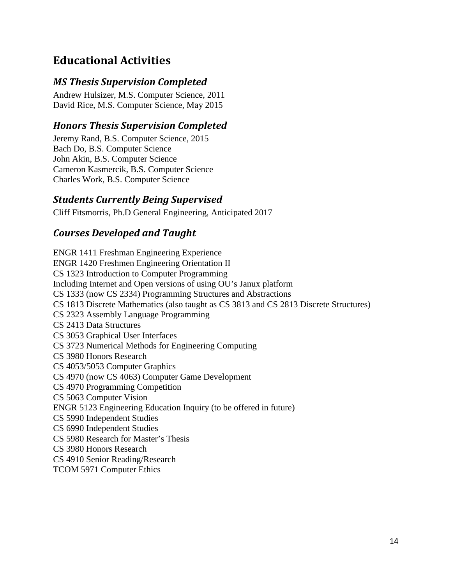# <span id="page-13-0"></span>**Educational Activities**

#### <span id="page-13-1"></span>*MS Thesis Supervision Completed*

Andrew Hulsizer, M.S. Computer Science, 2011 David Rice, M.S. Computer Science, May 2015

#### <span id="page-13-2"></span>*Honors Thesis Supervision Completed*

Jeremy Rand, B.S. Computer Science, 2015 Bach Do, B.S. Computer Science John Akin, B.S. Computer Science Cameron Kasmercik, B.S. Computer Science Charles Work, B.S. Computer Science

#### <span id="page-13-3"></span>*Students Currently Being Supervised*

<span id="page-13-4"></span>Cliff Fitsmorris, Ph.D General Engineering, Anticipated 2017

#### *Courses Developed and Taught*

ENGR 1411 Freshman Engineering Experience ENGR 1420 Freshmen Engineering Orientation II CS 1323 Introduction to Computer Programming Including Internet and Open versions of using OU's Janux platform CS 1333 (now CS 2334) Programming Structures and Abstractions CS 1813 Discrete Mathematics (also taught as CS 3813 and CS 2813 Discrete Structures) CS 2323 Assembly Language Programming CS 2413 Data Structures CS 3053 Graphical User Interfaces CS 3723 Numerical Methods for Engineering Computing CS 3980 Honors Research CS 4053/5053 Computer Graphics CS 4970 (now CS 4063) Computer Game Development CS 4970 Programming Competition CS 5063 Computer Vision ENGR 5123 Engineering Education Inquiry (to be offered in future) CS 5990 Independent Studies CS 6990 Independent Studies CS 5980 Research for Master's Thesis CS 3980 Honors Research CS 4910 Senior Reading/Research TCOM 5971 Computer Ethics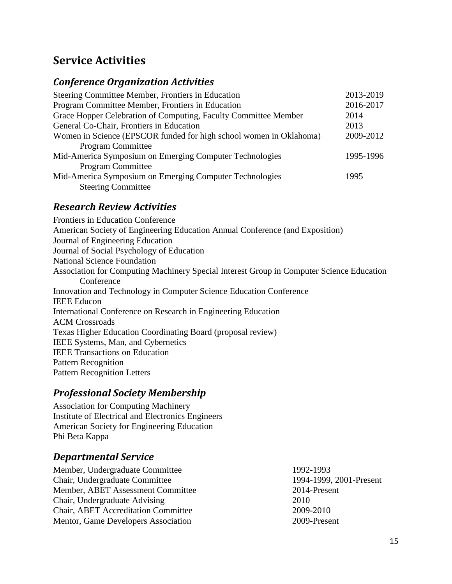# <span id="page-14-0"></span>**Service Activities**

### <span id="page-14-1"></span>*Conference Organization Activities*

| Steering Committee Member, Frontiers in Education                  | 2013-2019 |
|--------------------------------------------------------------------|-----------|
| Program Committee Member, Frontiers in Education                   | 2016-2017 |
| Grace Hopper Celebration of Computing, Faculty Committee Member    | 2014      |
| General Co-Chair, Frontiers in Education                           | 2013      |
| Women in Science (EPSCOR funded for high school women in Oklahoma) | 2009-2012 |
| <b>Program Committee</b>                                           |           |
| Mid-America Symposium on Emerging Computer Technologies            | 1995-1996 |
| <b>Program Committee</b>                                           |           |
| Mid-America Symposium on Emerging Computer Technologies            | 1995      |
| <b>Steering Committee</b>                                          |           |

#### <span id="page-14-2"></span>*Research Review Activities*

Frontiers in Education Conference American Society of Engineering Education Annual Conference (and Exposition) Journal of Engineering Education Journal of Social Psychology of Education National Science Foundation Association for Computing Machinery Special Interest Group in Computer Science Education **Conference** Innovation and Technology in Computer Science Education Conference IEEE Educon International Conference on Research in Engineering Education ACM Crossroads Texas Higher Education Coordinating Board (proposal review) IEEE Systems, Man, and Cybernetics IEEE Transactions on Education Pattern Recognition Pattern Recognition Letters

# <span id="page-14-3"></span>*Professional Society Membership*

Association for Computing Machinery Institute of Electrical and Electronics Engineers American Society for Engineering Education Phi Beta Kappa

## <span id="page-14-4"></span>*Departmental Service*

Member, Undergraduate Committee 1992-1993 Chair, Undergraduate Committee 1994-1999, 2001-Present Member, ABET Assessment Committee 2014-Present Chair, Undergraduate Advising 2010 Chair, ABET Accreditation Committee 2009-2010 Mentor, Game Developers Association 2009-Present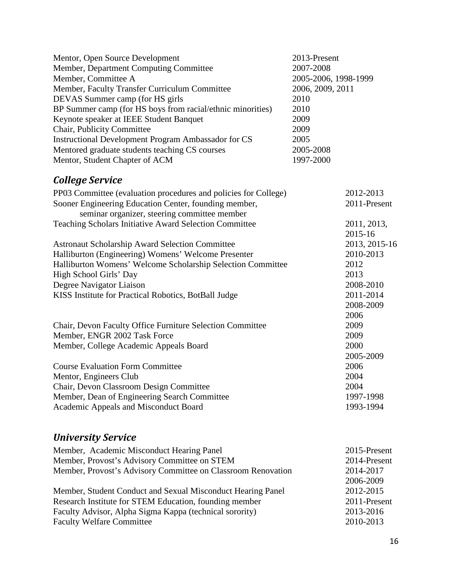<span id="page-15-0"></span>

| Mentor, Open Source Development                                 | 2013-Present         |               |
|-----------------------------------------------------------------|----------------------|---------------|
| Member, Department Computing Committee                          | 2007-2008            |               |
| Member, Committee A                                             | 2005-2006, 1998-1999 |               |
| Member, Faculty Transfer Curriculum Committee                   | 2006, 2009, 2011     |               |
| DEVAS Summer camp (for HS girls                                 | 2010                 |               |
| BP Summer camp (for HS boys from racial/ethnic minorities)      | 2010                 |               |
| Keynote speaker at IEEE Student Banquet                         | 2009                 |               |
| Chair, Publicity Committee                                      | 2009                 |               |
| <b>Instructional Development Program Ambassador for CS</b>      | 2005                 |               |
| Mentored graduate students teaching CS courses                  | 2005-2008            |               |
| Mentor, Student Chapter of ACM                                  | 1997-2000            |               |
| <b>College Service</b>                                          |                      |               |
| PP03 Committee (evaluation procedures and policies for College) |                      | 2012-2013     |
| Sooner Engineering Education Center, founding member,           |                      | 2011-Present  |
| seminar organizer, steering committee member                    |                      |               |
| Teaching Scholars Initiative Award Selection Committee          |                      | 2011, 2013,   |
|                                                                 |                      | 2015-16       |
| <b>Astronaut Scholarship Award Selection Committee</b>          |                      | 2013, 2015-16 |
| Halliburton (Engineering) Womens' Welcome Presenter             |                      | 2010-2013     |
| Halliburton Womens' Welcome Scholarship Selection Committee     |                      | 2012          |
| High School Girls' Day                                          |                      | 2013          |
| Degree Navigator Liaison                                        |                      | 2008-2010     |
| KISS Institute for Practical Robotics, BotBall Judge            |                      | 2011-2014     |
|                                                                 |                      | 2008-2009     |
|                                                                 |                      | 2006          |
| Chair, Devon Faculty Office Furniture Selection Committee       |                      | 2009          |
| Member, ENGR 2002 Task Force                                    |                      | 2009          |
| Member, College Academic Appeals Board                          |                      | 2000          |
|                                                                 |                      | 2005-2009     |
| <b>Course Evaluation Form Committee</b>                         |                      | 2006          |
| Mentor, Engineers Club                                          |                      | 2004          |
| Chair, Devon Classroom Design Committee                         |                      | 2004          |
| Member, Dean of Engineering Search Committee                    |                      | 1997-1998     |
| Academic Appeals and Misconduct Board                           |                      | 1993-1994     |

# <span id="page-15-1"></span>*University Service*

| Member, Academic Misconduct Hearing Panel                    | 2015-Present |
|--------------------------------------------------------------|--------------|
| Member, Provost's Advisory Committee on STEM                 | 2014-Present |
| Member, Provost's Advisory Committee on Classroom Renovation | 2014-2017    |
|                                                              | 2006-2009    |
| Member, Student Conduct and Sexual Misconduct Hearing Panel  | 2012-2015    |
| Research Institute for STEM Education, founding member       | 2011-Present |
| Faculty Advisor, Alpha Sigma Kappa (technical sorority)      | 2013-2016    |
| <b>Faculty Welfare Committee</b>                             | 2010-2013    |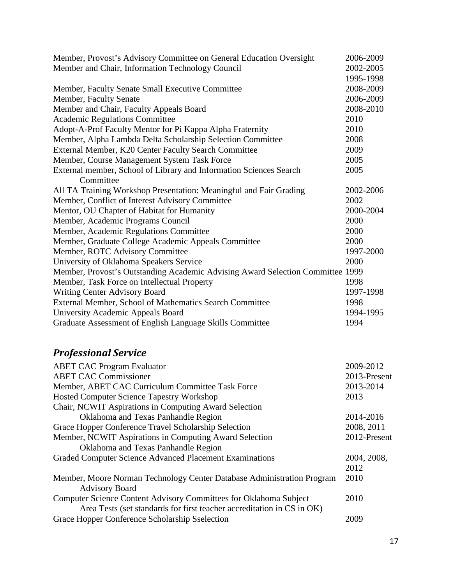| Member, Provost's Advisory Committee on General Education Oversight            | 2006-2009 |
|--------------------------------------------------------------------------------|-----------|
| Member and Chair, Information Technology Council                               | 2002-2005 |
|                                                                                | 1995-1998 |
| Member, Faculty Senate Small Executive Committee                               | 2008-2009 |
| Member, Faculty Senate                                                         | 2006-2009 |
| Member and Chair, Faculty Appeals Board                                        | 2008-2010 |
| <b>Academic Regulations Committee</b>                                          | 2010      |
| Adopt-A-Prof Faculty Mentor for Pi Kappa Alpha Fraternity                      | 2010      |
| Member, Alpha Lambda Delta Scholarship Selection Committee                     | 2008      |
| External Member, K20 Center Faculty Search Committee                           | 2009      |
| Member, Course Management System Task Force                                    | 2005      |
| External member, School of Library and Information Sciences Search             | 2005      |
| Committee                                                                      |           |
| All TA Training Workshop Presentation: Meaningful and Fair Grading             | 2002-2006 |
| Member, Conflict of Interest Advisory Committee                                | 2002      |
| Mentor, OU Chapter of Habitat for Humanity                                     | 2000-2004 |
| Member, Academic Programs Council                                              | 2000      |
| Member, Academic Regulations Committee                                         | 2000      |
| Member, Graduate College Academic Appeals Committee                            | 2000      |
| Member, ROTC Advisory Committee                                                | 1997-2000 |
| University of Oklahoma Speakers Service                                        | 2000      |
| Member, Provost's Outstanding Academic Advising Award Selection Committee 1999 |           |
| Member, Task Force on Intellectual Property                                    | 1998      |
| <b>Writing Center Advisory Board</b>                                           | 1997-1998 |
| External Member, School of Mathematics Search Committee                        | 1998      |
| University Academic Appeals Board                                              | 1994-1995 |
| Graduate Assessment of English Language Skills Committee                       | 1994      |

# <span id="page-16-0"></span>*Professional Service*

| <b>ABET CAC Program Evaluator</b>                                      | 2009-2012    |
|------------------------------------------------------------------------|--------------|
| <b>ABET CAC Commissioner</b>                                           | 2013-Present |
| Member, ABET CAC Curriculum Committee Task Force                       | 2013-2014    |
| <b>Hosted Computer Science Tapestry Workshop</b>                       | 2013         |
| Chair, NCWIT Aspirations in Computing Award Selection                  |              |
| Oklahoma and Texas Panhandle Region                                    | 2014-2016    |
| Grace Hopper Conference Travel Scholarship Selection                   | 2008, 2011   |
| Member, NCWIT Aspirations in Computing Award Selection                 | 2012-Present |
| Oklahoma and Texas Panhandle Region                                    |              |
| Graded Computer Science Advanced Placement Examinations                | 2004, 2008,  |
|                                                                        | 2012         |
| Member, Moore Norman Technology Center Database Administration Program | 2010         |
| <b>Advisory Board</b>                                                  |              |
| Computer Science Content Advisory Committees for Oklahoma Subject      | 2010         |
| Area Tests (set standards for first teacher accreditation in CS in OK) |              |
| Grace Hopper Conference Scholarship Sselection                         | 2009         |